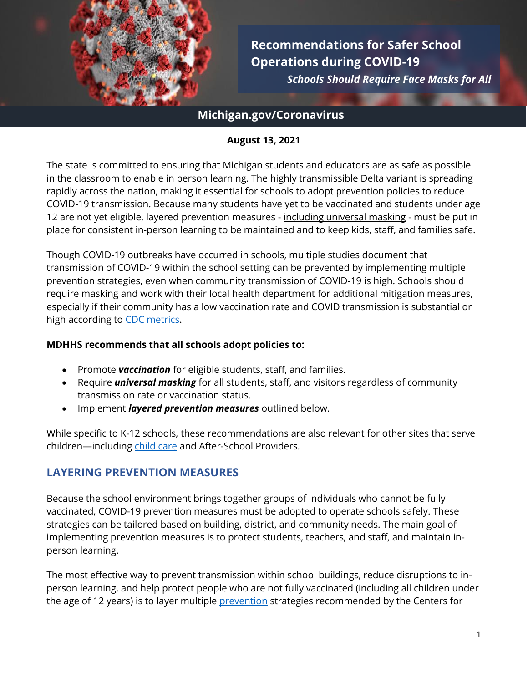

**Recommendations for Safer School Operations during COVID-19**   *Schools Should Require Face Masks for All*

# **Michigan.gov/Coronavirus**

#### **August 13, 2021**

The state is committed to ensuring that Michigan students and educators are as safe as possible in the classroom to enable in person learning. The highly transmissible Delta variant is spreading rapidly across the nation, making it essential for schools to adopt prevention policies to reduce COVID-19 transmission. Because many students have yet to be vaccinated and students under age 12 are not yet eligible, layered prevention measures - including universal masking - must be put in place for consistent in-person learning to be maintained and to keep kids, staff, and families safe.

Though COVID-19 outbreaks have occurred in schools, multiple studies document that transmission of COVID-19 within the school setting can be prevented by implementing multiple prevention strategies, even when community transmission of COVID-19 is high. Schools should require masking and work with their local health department for additional mitigation measures, especially if their community has a low vaccination rate and COVID transmission is substantial or high according to [CDC metrics.](https://covid.cdc.gov/covid-data-tracker/#county-view)

#### **MDHHS recommends that all schools adopt policies to:**

- Promote *vaccination* for eligible students, staff, and families.
- Require *universal masking* for all students, staff, and visitors regardless of community transmission rate or vaccination status.
- Implement *layered prevention measures* outlined below.

While specific to K-12 schools, these recommendations are also relevant for other sites that serve children—including [child](https://www.cdc.gov/coronavirus/2019-ncov/community/schools-childcare/child-care-guidance.html) care and After-School Providers.

## **LAYERING PREVENTION MEASURES**

Because the school environment brings together groups of individuals who cannot be fully vaccinated, COVID-19 prevention measures must be adopted to operate schools safely. These strategies can be tailored based on building, district, and community needs. The main goal of implementing prevention measures is to protect students, teachers, and staff, and maintain inperson learning.

The most effective way to prevent transmission within school buildings, reduce disruptions to inperson learning, and help protect people who are not fully vaccinated (including all children under the age of 12 years) is to layer multiple **[prevention](https://www.cdc.gov/coronavirus/2019-ncov/community/schools-childcare/k-12-guidance.html#anchor_1625661937509)** [strategies](https://www.cdc.gov/coronavirus/2019-ncov/prevent-getting-sick/prevention.html) recommended by the Centers for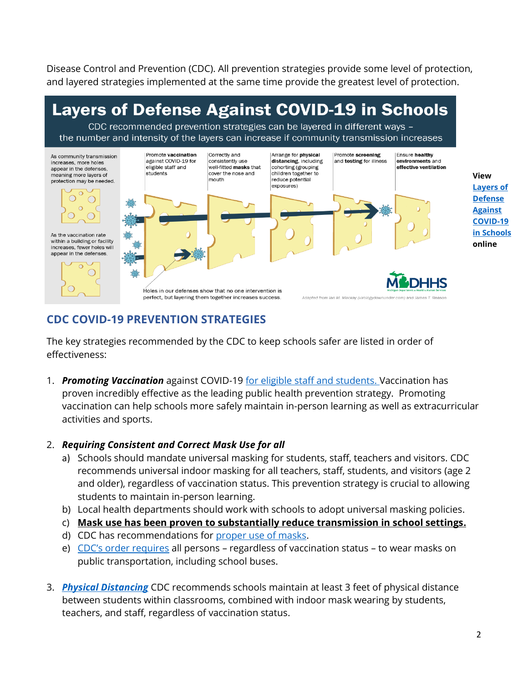Disease Control and Prevention (CDC). All prevention strategies provide some level of protection, and layered strategies implemented at the same time provide the greatest level of protection.



# **CDC COVID-19 PREVENTION STRATEGIES**

The key strategies recommended by the CDC to keep schools safer are listed in order of effectiveness:

1. *Promoting Vaccination* against COVID-19 for eligible staff and students. Vaccination has proven incredibly effective as the leading public health prevention strategy. Promoting vaccination can help schools more safely maintain in-person learning as well as extracurricular activities and sports.

## 2. *Requiring Consistent and Correct Mask Use for all*

- a) Schools should mandate universal masking for students, staff, teachers and visitors. CDC recommends universal indoor masking for all teachers, staff, students, and visitors (age 2 and older), regardless of vaccination status. This prevention strategy is crucial to allowing students to maintain in-person learning.
- b) Local health departments should work with schools to adopt universal masking policies.
- c) **Mask use has been proven to substantially reduce transmission in school settings.**
- d) CDC has recommendations for proper use of masks.
- e) CDC's order requires all persons regardless of vaccination status to wear masks on public transportation, including school buses.
- 3. *Physical Distancing* CDC recommends schools maintain at least 3 feet of physical distance between students within classrooms, combined with indoor mask wearing by students, teachers, and staff, regardless of vaccination status.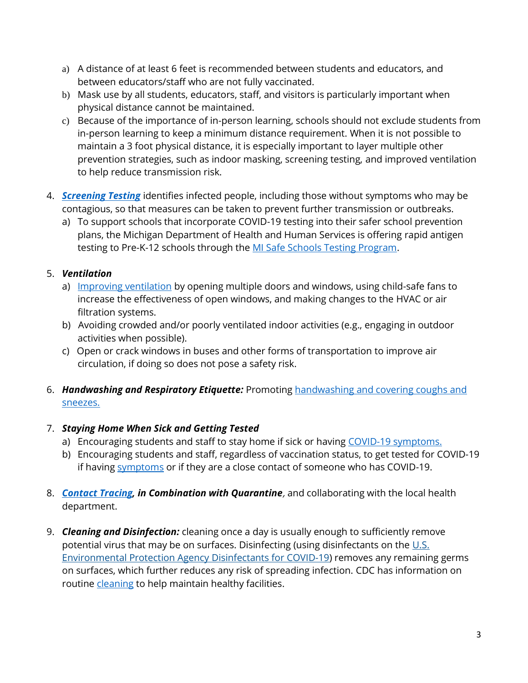- a) A distance of at least 6 feet is recommended between students and educators, and between educators/staff who are not fully vaccinated.
- b) Mask use by all students, educators, staff, and visitors is particularly important when physical distance cannot be maintained.
- c) Because of the importance of in-person learning, schools should not exclude students from in-person learning to keep a minimum distance requirement. When it is not possible to maintain a 3 foot physical distance, it is especially important to layer multiple other prevention strategies, such as indoor masking, screening testing, and improved ventilation to help reduce transmission risk.
- 4. *[Screening Testing](https://www.cdc.gov/coronavirus/2019-ncov/community/schools-childcare/operation-strategy.html#anchor_1616080181070)* identifies infected people, including those without symptoms who may be contagious, so that measures can be taken to prevent further transmission or outbreaks.
	- a) To support schools that incorporate COVID-19 testing into their safer school prevention plans, the Michigan Department of Health and Human Services is offering rapid antigen testing to Pre-K-12 schools through the [MI Safe Schools Testing Program.](https://www.michigan.gov/coronavirus/0,9753,7-406-98178_104699_104700_105077---,00.html)

#### 5. *Ventilation*

- a) [Improving ventilation](https://www.cdc.gov/coronavirus/2019-ncov/community/schools-childcare/ventilation.html) by opening multiple doors and windows, using child-safe fans to increase the effectiveness of open windows, and making changes to the HVAC or air filtration systems.
- b) Avoiding crowded and/or poorly ventilated indoor activities (e.g., engaging in outdoor activities when possible).
- c) Open or crack windows in buses and other forms of transportation to improve air circulation, if doing so does not pose a safety risk.

#### 6. *Handwashing and Respiratory Etiquette:* Promoting [handwashing and covering coughs and](https://www.cdc.gov/handwashing/when-how-handwashing.html)  [sneezes.](https://www.cdc.gov/handwashing/when-how-handwashing.html)

## 7. *Staying Home When Sick and Getting Tested*

- a) Encouraging students and staff to stay home if sick or having [COVID-19 symptoms.](https://www.cdc.gov/coronavirus/2019-ncov/symptoms-testing/symptoms.html?CDC_AA_refVal=https%3A%2F%2Fwww.cdc.gov%2Fcoronavirus%2F2019-ncov%2Fabout%2Fsymptoms.html)
- b) Encouraging students and staff, regardless of vaccination status, to get tested for COVID-19 if having [symptoms](https://www.cdc.gov/coronavirus/2019-ncov/symptoms-testing/symptoms.html?CDC_AA_refVal=https%3A%2F%2Fwww.cdc.gov%2Fcoronavirus%2F2019-ncov%2Fabout%2Fsymptoms.html) or if they are a close contact of someone who has COVID-19.
- 8. *[Contact Tracing,](https://www.cdc.gov/coronavirus/2019-ncov/php/open-america/contact-tracing-resources.html) in Combination with Quarantine*, and collaborating with the local health department.
- 9. *Cleaning and Disinfection:* cleaning once a day is usually enough to sufficiently remove potential virus that may be on surfaces. Disinfecting (using disinfectants on the  $\underline{\mathsf{U.S.}}$ [Environmental Protection Agency Disinfectants for COVID-19\)](https://www.epa.gov/coronavirus/about-list-n-disinfectants-coronavirus-covid-19-0) removes any remaining germs on surfaces, which further reduces any risk of spreading infection. CDC has information on routine *[cleaning](https://www.cdc.gov/coronavirus/2019-ncov/community/clean-disinfect/index.html)* to help maintain healthy facilities.